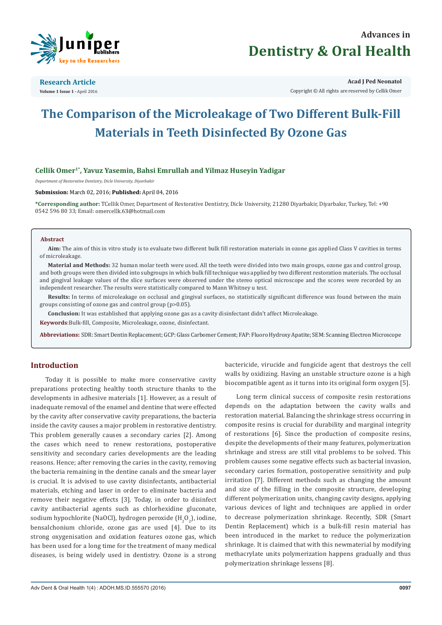



**Research Article Volume 1 Issue 1 -** April 2016

**Acad J Ped Neonatol** Copyright © All rights are reserved by Cellik Omer

# **The Comparison of the Microleakage of Two Different Bulk-Fill Materials in Teeth Disinfected By Ozone Gas**

# **Cellik Omer1\*, Yavuz Yasemin, Bahsi Emrullah and Yilmaz Huseyin Yadigar**

*Department of Restorative Dentistry, Dicle University, Diyarbakir*

**Submission:** March 02, 2016; **Published:** April 04, 2016

**\*Corresponding author:** TCellik Omer, Department of Restorative Dentistry, Dicle University, 21280 Diyarbakir, Diyarbakır, Turkey, Tel: +90 0542 596 80 33; Email: omercellk.63@hotmail.com

#### **Abstract**

**Aim:** The aim of this in vitro study is to evaluate two different bulk fill restoration materials in ozone gas applied Class V cavities in terms of microleakage.

**Material and Methods:** 32 human molar teeth were used. All the teeth were divided into two main groups, ozone gas and control group, and both groups were then divided into subgroups in which bulk fill technique was applied by two different restoration materials. The occlusal and gingival leakage values of the slice surfaces were observed under the stereo optical microscope and the scores were recorded by an independent researcher. The results were statistically compared to Mann Whitney u test.

**Results:** In terms of microleakage on occlusal and gingival surfaces, no statistically significant difference was found between the main groups consisting of ozone gas and control group (p>0.05).

**Conclusion:** It was established that applying ozone gas as a cavity disinfectant didn't affect Microleakage.

**Keywords**:Bulk-fill, Composite, Microleakage, ozone, disinfectant.

**Abbreviations:** SDR: Smart Dentin Replacement; GCP: Glass Carbomer Cement; FAP: Fluoro Hydroxy Apatite; SEM: Scanning Electron Microscope

## **Introduction**

Today it is possible to make more conservative cavity preparations protecting healthy tooth structure thanks to the developments in adhesive materials [1]. However, as a result of inadequate removal of the enamel and dentine that were effected by the cavity after conservative cavity preparations, the bacteria inside the cavity causes a major problem in restorative dentistry. This problem generally causes a secondary caries [2]. Among the cases which need to renew restorations, postoperative sensitivity and secondary caries developments are the leading reasons. Hence; after removing the caries in the cavity, removing the bacteria remaining in the dentine canals and the smear layer is crucial. It is advised to use cavity disinfectants, antibacterial materials, etching and laser in order to eliminate bacteria and remove their negative effects [3]. Today, in order to disinfect cavity antibacterial agents such as chlorhexidine gluconate, sodium hypochlorite (NaOCl), hydrogen peroxide (H<sub>2</sub>O<sub>2</sub>), iodine, bensalchonium chloride, ozone gas are used [4]. Due to its strong oxygenisation and oxidation features ozone gas, which has been used for a long time for the treatment of many medical diseases, is being widely used in dentistry. Ozone is a strong bactericide, virucide and fungicide agent that destroys the cell walls by oxidizing. Having an unstable structure ozone is a high biocompatible agent as it turns into its original form oxygen [5].

Long term clinical success of composite resin restorations depends on the adaptation between the cavity walls and restoration material. Balancing the shrinkage stress occurring in composite resins is crucial for durability and marginal integrity of restorations [6]. Since the production of composite resins, despite the developments of their many features, polymerization shrinkage and stress are still vital problems to be solved. This problem causes some negative effects such as bacterial invasion, secondary caries formation, postoperative sensitivity and pulp irritation [7]. Different methods such as changing the amount and size of the filling in the composite structure, developing different polymerization units, changing cavity designs, applying various devices of light and techniques are applied in order to decrease polymerization shrinkage. Recently, SDR (Smart Dentin Replacement) which is a bulk-fill resin material has been introduced in the market to reduce the polymerization shrinkage. It is claimed that with this newmaterial by modifying methacrylate units polymerization happens gradually and thus polymerization shrinkage lessens [8].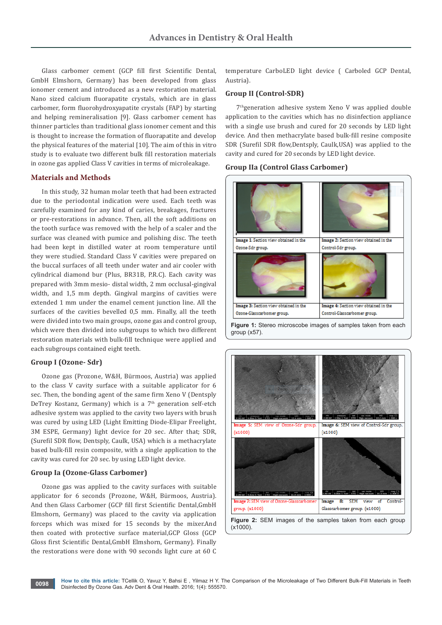Glass carbomer cement (GCP fill first Scientific Dental, GmbH Elmshorn, Germany) has been developed from glass ionomer cement and introduced as a new restoration material. Nano sized calcium fluorapatite crystals, which are in glass carbomer, form fluorohydroxyapatite crystals (FAP) by starting and helping remineralisation [9]. Glass carbomer cement has thinner particles than traditional glass ionomer cement and this is thought to increase the formation of fluorapatite and develop the physical features of the material [10]. The aim of this in vitro study is to evaluate two different bulk fill restoration materials in ozone gas applied Class V cavities in terms of microleakage.

## **Materials and Methods**

In this study, 32 human molar teeth that had been extracted due to the periodontal indication were used. Each teeth was carefully examined for any kind of caries, breakages, fractures or pre-restorations in advance. Then, all the soft additions on the tooth surface was removed with the help of a scaler and the surface was cleaned with pumice and polishing disc. The teeth had been kept in distilled water at room temperature until they were studied. Standard Class V cavities were prepared on the buccal surfaces of all teeth under water and air cooler with cylindrical diamond bur (Plus, BR31B, P.R.C). Each cavity was prepared with 3mm mesio- distal width, 2 mm occlusal-gingival width, and 1,5 mm depth. Gingival margins of cavities were extended 1 mm under the enamel cement junction line. All the surfaces of the cavities bevelled 0,5 mm. Finally, all the teeth were divided into two main groups, ozone gas and control group, which were then divided into subgroups to which two different restoration materials with bulk-fill technique were applied and each subgroups contained eight teeth.

#### **Group I (Ozone- Sdr)**

Ozone gas (Prozone, W&H, Bürmoos, Austria) was applied to the class V cavity surface with a suitable applicator for 6 sec. Then, the bonding agent of the same firm Xeno V (Dentsply DeTrey Kostanz, Germany) which is a 7<sup>th</sup> generation self-etch adhesive system was applied to the cavity two layers with brush was cured by using LED (Light Emitting Diode-Elipar Freelight, 3M ESPE, Germany) light device for 20 sec. After that; SDR, (Surefil SDR flow, Dentsply, Caulk, USA) which is a methacrylate based bulk-fill resin composite, with a single application to the cavity was cured for 20 sec. by using LED light device.

#### **Group Ia (Ozone-Glass Carbomer)**

Ozone gas was applied to the cavity surfaces with suitable applicator for 6 seconds (Prozone, W&H, Bürmoos, Austria). And then Glass Carbomer (GCP fill first Scientific Dental,GmbH Elmshorn, Germany) was placed to the cavity via application forceps which was mixed for 15 seconds by the mixer.And then coated with protective surface material,GCP Gloss (GCP Gloss first Scientific Dental,GmbH Elmshorn, Germany). Finally the restorations were done with 90 seconds light cure at 60 C temperature CarboLED light device ( Carboled GCP Dental, Austria).

#### **Group II (Control-SDR)**

7thgeneration adhesive system Xeno V was applied double application to the cavities which has no disinfection appliance with a single use brush and cured for 20 seconds by LED light device. And then methacrylate based bulk-fill resine composite SDR (Surefil SDR flow,Dentsply, Caulk,USA) was applied to the cavity and cured for 20 seconds by LED light device.

## **Group IIa (Control Glass Carbomer)**



**Figure 1:** Stereo microscobe images of samples taken from each group (x57).

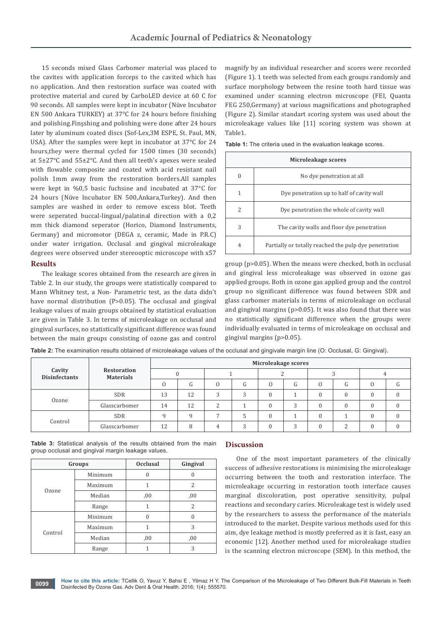15 seconds mixed Glass Carbomer material was placed to the cavites with application forceps to the cavited which has no application. And then restoration surface was coated with protective material and cured by CarboLED device at 60 C for 90 seconds. All samples were kept in incubator (Nüve Incubator EN 500 Ankara TURKEY) at 37°C for 24 hours before finishing and polishing.Finşshing and polishing were done after 24 hours later by aluminum coated discs (Sof-Lex,3M ESPE, St. Paul, MN, USA). After the samples were kept in incubator at 37°C for 24 hours,they were thermal cycled for 1500 times (30 seconds) at 5±27°C and 55±2°C. And then all teeth's apexes were sealed with flowable composite and coated with acid resistant nail polish 1mm away from the restoration borders.All samples were kept in %0,5 basic fuchsine and incubated at 37°C for 24 hours (Nüve Incubator EN 500,Ankara,Turkey). And then samples are washed in order to remove excess blot. Teeth were seperated buccal-lingual/palatinal direction with a 0,2 mm thick diamond seperator (Horico, Diamond Instruments, Germany) and micromotor (DEGA z, ceramic, Made in P.R.C) under water irrigation. Occlusal and gingival microleakage degrees were observed under stereooptic microscope with x57

#### **Results**

The leakage scores obtained from the research are given in Table 2. In our study, the groups were statistically compared to Mann Whitney test, a Non- Parametric test, as the data didn't have normal distribution (P>0.05). The occlusal and gingival leakage values of main groups obtained by statistical evaluation are given in Table 3. In terms of microleakage on occlusal and gingival surfaces, no statistically significant difference was found between the main groups consisting of ozone gas and control

magnify by an individual researcher and scores were recorded (Figure 1). 1 teeth was selected from each groups randomly and surface morphology between the resine tooth hard tissue was examined under scanning electron microscope (FEI, Quanta FEG 250,Germany) at various magnifications and photographed (Figure 2). Similar standart scoring system was used about the microleakage values like [11] scoring system was shown at Table1.

**Table 1:** The criteria used in the evaluation leakage scores.

| Microleakage scores |                                                       |  |  |  |  |  |  |
|---------------------|-------------------------------------------------------|--|--|--|--|--|--|
| 0                   | No dye penetration at all                             |  |  |  |  |  |  |
| 1                   | Dye penetration up to half of cavity wall             |  |  |  |  |  |  |
| 2                   | Dye penetration the whole of cavity wall              |  |  |  |  |  |  |
| 3                   | The cavity walls and floor dye penetration            |  |  |  |  |  |  |
| 4                   | Partially or totally reached the pulp dye penetration |  |  |  |  |  |  |

group (p>0.05). When the means were checked, both in occlusal and gingival less microleakage was observed in ozone gas applied groups. Both in ozone gas applied group and the control group no significant difference was found between SDR and glass carbomer materials in terms of microleakage on occlusal and gingival margins (p>0.05). It was also found that there was no statistically significant difference when the groups were individually evaluated in terms of microleakage on occlusal and gingival margins (p>0.05).

**Table 2:** The examination results obtained of microleakage values of the occlusal and gingivale margin line (O: Occlusal, G: Gingival).

| Cavity<br><b>Disinfectants</b> | <b>Restoration</b><br><b>Materials</b> | Microleakage scores |    |  |                 |          |   |  |                 |          |    |  |
|--------------------------------|----------------------------------------|---------------------|----|--|-----------------|----------|---|--|-----------------|----------|----|--|
|                                |                                        |                     |    |  |                 |          |   |  |                 |          |    |  |
|                                |                                        |                     | G  |  | $\sqrt{2}$<br>G | $\Omega$ | G |  | $\sqrt{2}$<br>G | 0        | (т |  |
| Ozone                          | <b>SDR</b>                             | 13                  | 12 |  | 2               |          |   |  |                 | $\Omega$ |    |  |
|                                | Glasscarbomer                          | 14                  | 12 |  |                 | $\Omega$ | ∍ |  | $\cap$          | $\Omega$ |    |  |
| Control                        | <b>SDR</b>                             | $\Omega$            | Q  |  |                 | $\Omega$ |   |  |                 | $\Omega$ |    |  |
|                                | Glasscarbomer                          | 12                  | 8  |  | ∍               | $\theta$ | ∍ |  | $\sqrt{2}$      | $\Omega$ |    |  |

**Table 3:** Statistical analysis of the results obtained from the main group occlusal and gingival margin leakage values.

|         | Groups  | <b>Occlusal</b> | Gingival |  |  |
|---------|---------|-----------------|----------|--|--|
| Ozone   | Minimum | $\theta$        |          |  |  |
|         | Maximum |                 | 2        |  |  |
|         | Median  | ,00             | ,00      |  |  |
|         | Range   | 1               | 2        |  |  |
|         | Minimum | $\Omega$        | 0        |  |  |
| Control | Maximum |                 | 3        |  |  |
|         | Median  | ,00             | ,00      |  |  |
|         | Range   |                 | 3        |  |  |

#### **Discussion**

One of the most important parameters of the clinically success of adhesive restorations is minimising the microleakage occurring between the tooth and restoration interface. The microleakage occurring in restoration tooth interface causes marginal discoloration, post operative sensitivity, pulpal reactions and secondary caries. Microleakage test is widely used by the researchers to assess the performance of the materials introduced to the market. Despite various methods used for this aim, dye leakage method is mostly preferred as it is fast, easy an economic [12]. Another method used for microleakage studies is the scanning electron microscope (SEM). In this method, the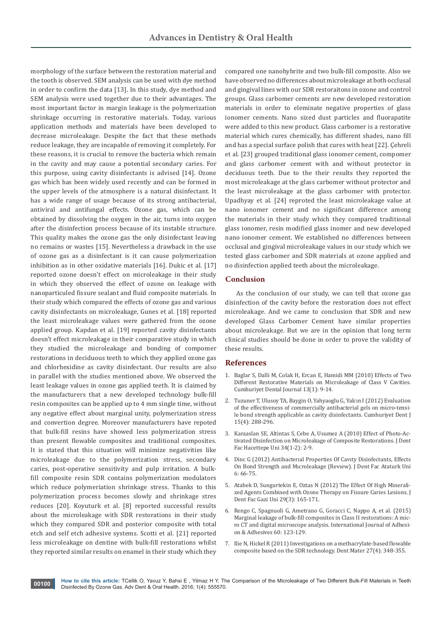morphology of the surface between the restoration material and the tooth is observed. SEM analysis can be used with dye method in order to confirm the data [13]. In this study, dye method and SEM analysis were used together due to their advantages. The most important factor in margin leakage is the polymerization shrinkage occurring in restorative materials. Today, various application methods and materials have been developed to decrease microleakage. Despite the fact that these methods reduce leakage, they are incapable of removing it completely. For these reasons, it is crucial to remove the bacteria which remain in the cavity and may cause a potential secondary caries. For this purpose, using cavity disinfectants is advised [14]. Ozone gas which has been widely used recently and can be formed in the upper levels of the atmosphere is a natural disinfectant. It has a wide range of usage because of its strong antibacterial, antiviral and antifungal effects. Ozone gas, which can be obtained by dissolving the oxygen in the air, turns into oxygen after the disinfection process because of its instable structure. This quality makes the ozone gas the only disinfectant leaving no remains or wastes [15]. Nevertheless a drawback in the use of ozone gas as a disinfectant is it can cause polymerization inhibition as in other oxidative materials [16]. Dukic et al. [17] reported ozone doesn't effect on microleakage in their study in which they observed the effect of ozone on leakage with nanoparticuled fissure sealant and fluid composite materials. In their study which compared the effects of ozone gas and various cavity disinfectants on microleakage, Gunes et al. [18] reported the least microleakage values were gathered from the ozone applied group. Kapdan et al. [19] reported cavity disinfectants doesn't effect microleakage in their comparative study in which they studied the microleakage and bonding of compomer restorations in deciduous teeth to which they applied ozone gas and chlorhexidine as cavity disinfectant. Our results are also in parallel with the studies mentioned above. We observed the least leakage values in ozone gas applied teeth. It is claimed by the manufacturers that a new developed technology bulk-fill resin composites can be applied up to 4 mm single time, without any negative effect about marginal unity, polymerization stress and convertion degree. Moreover manufacturers have repoted that bulk-fill resins have showed less polymerization stress than present flowable composites and traditional composites. It is stated that this situation will minimize negativities like microleakage due to the polymerization stress, secondary caries, post-operative sensitivity and pulp irritation. A bulkfill composite resin SDR contains polymerization modulators which reduce polymeriation shrinkage stress. Thanks to this polymerization process becomes slowly and shrinkage stres reduces [20]. Koyuturk et al. [8] reported successful results about the microleakage with SDR restorations in their study which they compared SDR and posterior composite with total etch and self etch adhesive systems. Scotti et al. [21] reported less microleakage on dentine with bulk-fill restorations whilst they reported similar results on enamel in their study which they

compared one nanohybrite and two bulk-fill composite. Also we have observed no differences about microleakage at both occlusal and gingival lines with our SDR restoraitons in ozone and control groups. Glass carbomer cements are new developed restoration materials in order to eleminate negative properties of glass ionomer cements. Nano sized dust particles and fluorapatite were added to this new product. Glass carbomer is a restorative material which cures chemically, has different shades, nano fill and has a special surface polish that cures with heat [22]. Çehreli et al. [23] grouped traditional glass ionomer cement, compomer and glass carbomer cement with and without protector in deciduous teeth. Due to the their results they reported the most microleakage at the glass carbomer without protector and the least microleakage at the glass carbomer with protector. Upadhyay et al. [24] reproted the least microleakage value at nano ionomer cement and no significant difference among the materials in their study which they compared traditional glass ionomer, resin modified glass inomer and new developed nano ionomer cement. We established no differences between occlusal and gingival microleakage values in our study which we tested glass carbomer and SDR materials at ozone applied and no disinfection applied teeth about the microleakage.

# **Conclusion**

As the conclusion of our study, we can tell that ozone gas disinfection of the cavity before the restoration does not effect microleakage. And we came to conclusion that SDR and new developed Glass Carbomer Cement have similar properties about microleakage. But we are in the opinion that long term clinical studies should be done in order to prove the validity of these results.

## **References**

- 1. Baglar S, Dalli M, Colak H, Ercan E, Hamidi MM (2010) Effects of Two Different Restorative Materials on Microleakage of Class V Cavities. Cumhuriyet Dental Journal 13(1): 9-14.
- 2. Tuzuner T, Ulusoy TA, Baygin O, Yahyaoglu G, Yalcın I (2012) Evaluation of the effectiveness of commercially antibacterial gels on micro-tensile bond strength applicable as cavity disinfectants. Cumhuriyet Dent J 15(4): 288-296.
- 3. Karaaslan SE, Altintas S, Cebe A, Usumez A (2010) Effect of Photo-Activated Disinfection on Microleakage of Composite Restorations. J Dent Fac Hacettepe Uni 34(1-2): 2-9.
- 4. Dinc G (2012) Antibacterıal Properties Of Cavıty Disinfectants, Effects On Bond Strength and Mıcroleakage (Revıew). J Dent Fac Ataturk Uni 6: 66-75.
- 5. [Atabek D, Sungurtekin E, Oztas N \(2012\) The Effect Of Hıgh Minerali](http://ecc.isc.gov.ir/showJournal/4962/50958/678292)[zed Agents Combined wıth Ozone Therapy on Fissure Caries Lesions. J](http://ecc.isc.gov.ir/showJournal/4962/50958/678292)  [Dent Fac Gazi Uni 29\(3\): 165-171.](http://ecc.isc.gov.ir/showJournal/4962/50958/678292)
- 6. [Rengo C, Spagnuoli G, Ametrano G, Goracci C, Nappo A, et al. \(2015\)](http://www.sciencedirect.com/science/article/pii/S0143749615000573)  [Marginal leakage of bulk-fill composites in Class II restorations: A mic](http://www.sciencedirect.com/science/article/pii/S0143749615000573)[ro CT and digital microscope analysis. International Journal of Adhesi](http://www.sciencedirect.com/science/article/pii/S0143749615000573)[on & Adhesives 60: 123-129.](http://www.sciencedirect.com/science/article/pii/S0143749615000573)
- 7. [Ilie N, Hickel R \(2011\) Investigations on a methacrylate-based flowable](http://www.ncbi.nlm.nih.gov/pubmed/21194743)  [composite based on the SDR technology. Dent Mater 27\(4\): 348-355.](http://www.ncbi.nlm.nih.gov/pubmed/21194743)